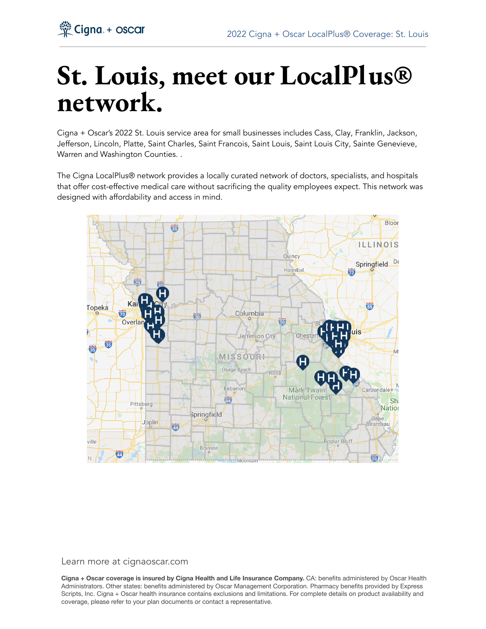

# **St. Louis, meet our LocalPlus® network.**

Cigna + Oscar's 2022 St. Louis service area for small businesses includes Cass, Clay, Franklin, Jackson, Jefferson, Lincoln, Platte, Saint Charles, Saint Francois, Saint Louis, Saint Louis City, Sainte Genevieve, Warren and Washington Counties. .

The Cigna LocalPlus® network provides a locally curated network of doctors, specialists, and hospitals that offer cost-effective medical care without sacrificing the quality employees expect. This network was designed with affordability and access in mind.



#### Learn more at cignaoscar.com

**Cigna + Oscar coverage is insured by Cigna Health and Life Insurance Company.** CA: benefits administered by Oscar Health Administrators. Other states: benefits administered by Oscar Management Corporation. Pharmacy benefits provided by Express Scripts, Inc. Cigna + Oscar health insurance contains exclusions and limitations. For complete details on product availability and coverage, please refer to your plan documents or contact a representative.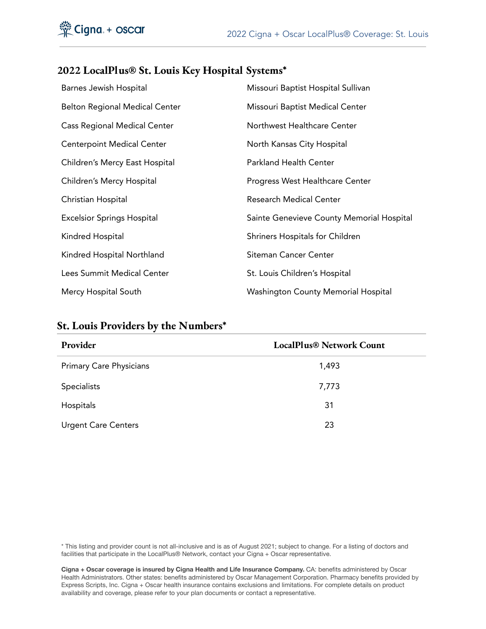#### **2022 LocalPlus® St. Louis Key Hospital Systems\***

| Barnes Jewish Hospital                | Missouri Baptist Hospital Sullivan         |
|---------------------------------------|--------------------------------------------|
| <b>Belton Regional Medical Center</b> | Missouri Baptist Medical Center            |
| <b>Cass Regional Medical Center</b>   | Northwest Healthcare Center                |
| <b>Centerpoint Medical Center</b>     | North Kansas City Hospital                 |
| Children's Mercy East Hospital        | <b>Parkland Health Center</b>              |
| Children's Mercy Hospital             | Progress West Healthcare Center            |
| Christian Hospital                    | <b>Research Medical Center</b>             |
| <b>Excelsior Springs Hospital</b>     | Sainte Genevieve County Memorial Hospital  |
| Kindred Hospital                      | Shriners Hospitals for Children            |
| Kindred Hospital Northland            | <b>Siteman Cancer Center</b>               |
| Lees Summit Medical Center            | St. Louis Children's Hospital              |
| Mercy Hospital South                  | <b>Washington County Memorial Hospital</b> |

### **St. Louis Providers by the Numbers\***

| Provider                       | <b>LocalPlus® Network Count</b> |
|--------------------------------|---------------------------------|
| <b>Primary Care Physicians</b> | 1,493                           |
| <b>Specialists</b>             | 7,773                           |
| Hospitals                      | 31                              |
| <b>Urgent Care Centers</b>     | 23                              |

\* This listing and provider count is not all-inclusive and is as of August 2021; subject to change. For a listing of doctors and facilities that participate in the LocalPlus® Network, contact your Cigna + Oscar representative.

**Cigna + Oscar coverage is insured by Cigna Health and Life Insurance Company.** CA: benefits administered by Oscar Health Administrators. Other states: benefits administered by Oscar Management Corporation. Pharmacy benefits provided by Express Scripts, Inc. Cigna + Oscar health insurance contains exclusions and limitations. For complete details on product availability and coverage, please refer to your plan documents or contact a representative.